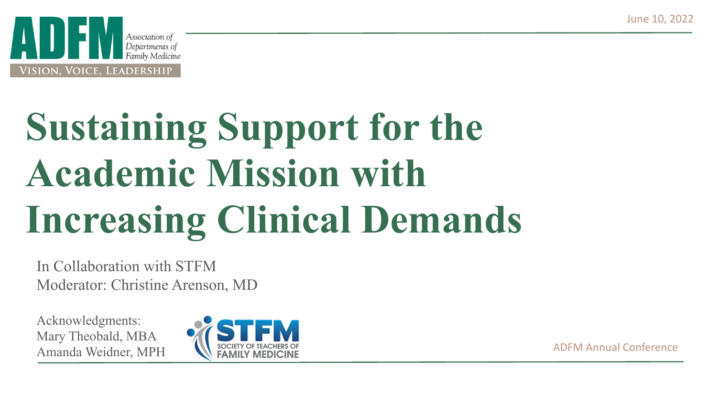

# **Sustaining Support for the Academic Mission with Increasing Clinical Demands**

In Collaboration with STFM Moderator: Christine Arenson, MD

Acknowledgments: Mary Theobald, MBA Amanda Weidner, MPH SOCIETY OF TEACHERS OF THE SOCIETY OF TEACHERS OF ADFM Annual Conference

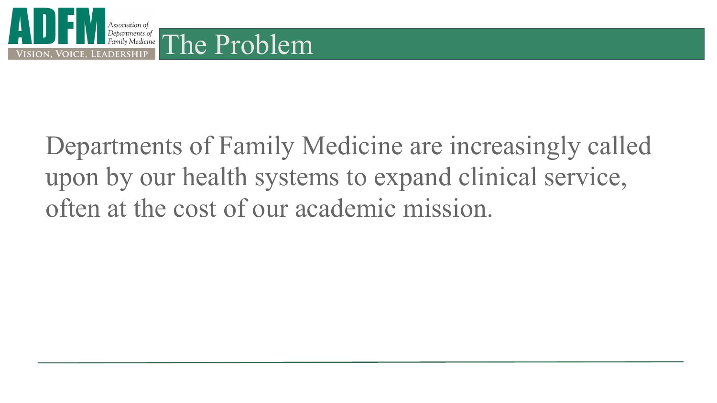

# Departments of Family Medicine are increasingly called upon by our health systems to expand clinical service, often at the cost of our academic mission.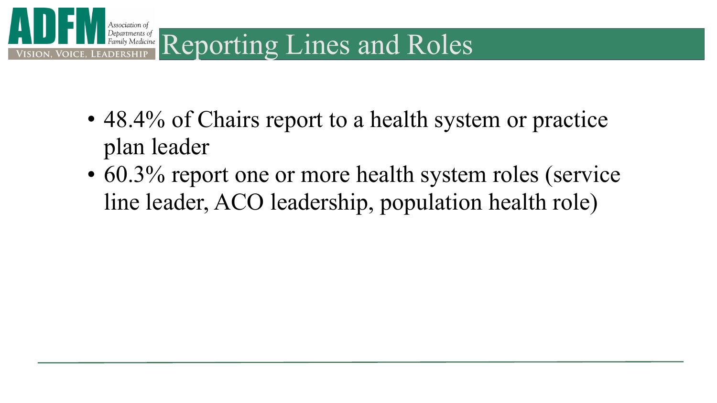

- 48.4% of Chairs report to a health system or practice plan leader
- 60.3% report one or more health system roles (service line leader, ACO leadership, population health role)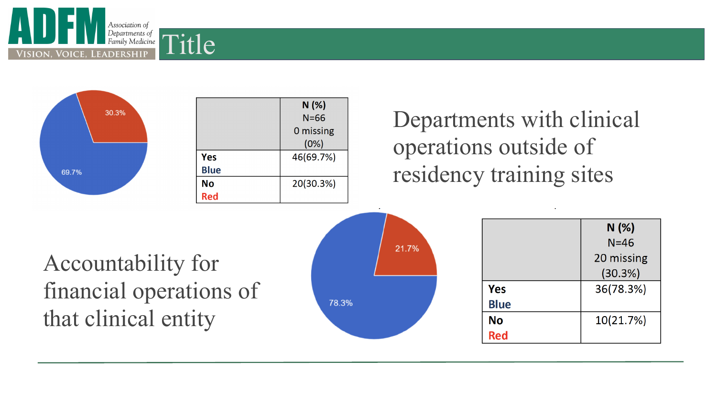



|             | N(%)<br>$N=66$ |  |
|-------------|----------------|--|
|             |                |  |
|             | 0 missing      |  |
|             | (0%)           |  |
| Yes         | 46(69.7%)      |  |
| <b>Blue</b> |                |  |
| <b>No</b>   | 20(30.3%)      |  |
| Red         |                |  |

#### Departments with clinical operations outside of residency training sites

### Accountability for financial operations of that clinical entity



|             | N(%)       |  |
|-------------|------------|--|
|             | $N = 46$   |  |
|             | 20 missing |  |
|             | (30.3%)    |  |
| Yes         | 36(78.3%)  |  |
| <b>Blue</b> |            |  |
| No          | 10(21.7%)  |  |
| <b>Red</b>  |            |  |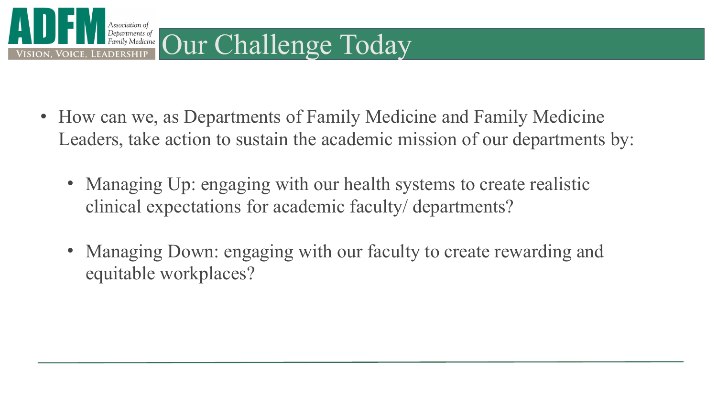

- How can we, as Departments of Family Medicine and Family Medicine Leaders, take action to sustain the academic mission of our departments by:
	- Managing Up: engaging with our health systems to create realistic clinical expectations for academic faculty/ departments?
	- Managing Down: engaging with our faculty to create rewarding and equitable workplaces?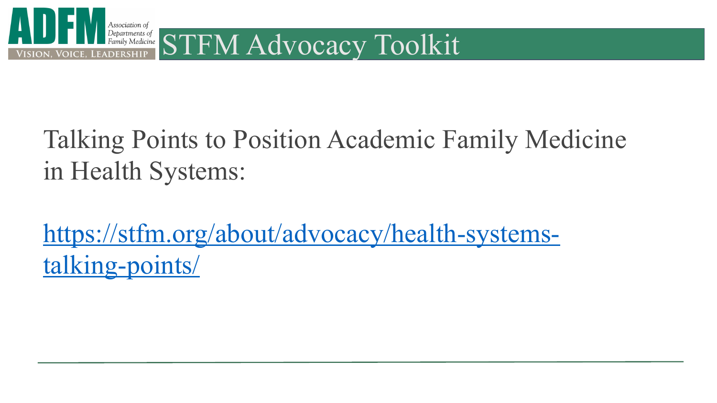

## Talking Points to Position Academic Family Medicine in Health Systems:

[https://stfm.org/about/advocacy/health-systems](https://stfm.org/about/advocacy/health-systems-talking-points/)[talking-points/](https://stfm.org/about/advocacy/health-systems-talking-points/)